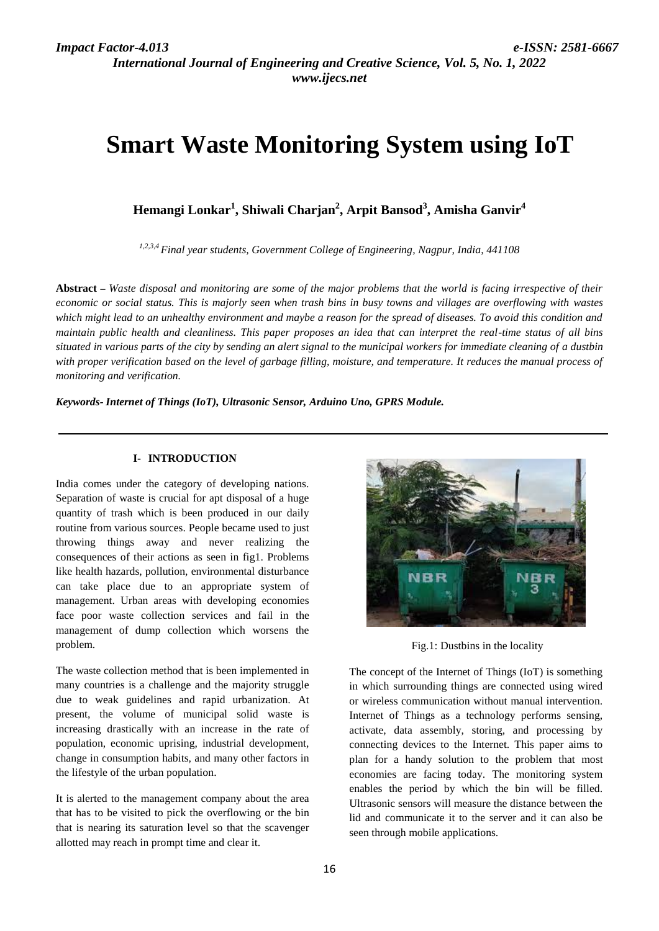*International Journal of Engineering and Creative Science, Vol. 5, No. 1, 2022 www.ijecs.net*

# **Smart Waste Monitoring System using IoT**

**Hemangi Lonkar<sup>1</sup> , Shiwali Charjan<sup>2</sup> , Arpit Bansod<sup>3</sup> , Amisha Ganvir<sup>4</sup>**

*1,2,3,4 Final year students, Government College of Engineering, Nagpur, India, 441108*

**Abstract** *– Waste disposal and monitoring are some of the major problems that the world is facing irrespective of their economic or social status. This is majorly seen when trash bins in busy towns and villages are overflowing with wastes which might lead to an unhealthy environment and maybe a reason for the spread of diseases. To avoid this condition and maintain public health and cleanliness. This paper proposes an idea that can interpret the real-time status of all bins situated in various parts of the city by sending an alert signal to the municipal workers for immediate cleaning of a dustbin with proper verification based on the level of garbage filling, moisture, and temperature. It reduces the manual process of monitoring and verification.*

*Keywords- Internet of Things (IoT), Ultrasonic Sensor, Arduino Uno, GPRS Module.*

#### **I- INTRODUCTION**

India comes under the category of developing nations. Separation of waste is crucial for apt disposal of a huge quantity of trash which is been produced in our daily routine from various sources. People became used to just throwing things away and never realizing the consequences of their actions as seen in fig1. Problems like health hazards, pollution, environmental disturbance can take place due to an appropriate system of management. Urban areas with developing economies face poor waste collection services and fail in the management of dump collection which worsens the problem.

The waste collection method that is been implemented in many countries is a challenge and the majority struggle due to weak guidelines and rapid urbanization. At present, the volume of municipal solid waste is increasing drastically with an increase in the rate of population, economic uprising, industrial development, change in consumption habits, and many other factors in the lifestyle of the urban population.

It is alerted to the management company about the area that has to be visited to pick the overflowing or the bin that is nearing its saturation level so that the scavenger allotted may reach in prompt time and clear it.



Fig.1: Dustbins in the locality

The concept of the Internet of Things (IoT) is something in which surrounding things are connected using wired or wireless communication without manual intervention. Internet of Things as a technology performs sensing, activate, data assembly, storing, and processing by connecting devices to the Internet. This paper aims to plan for a handy solution to the problem that most economies are facing today. The monitoring system enables the period by which the bin will be filled. Ultrasonic sensors will measure the distance between the lid and communicate it to the server and it can also be seen through mobile applications.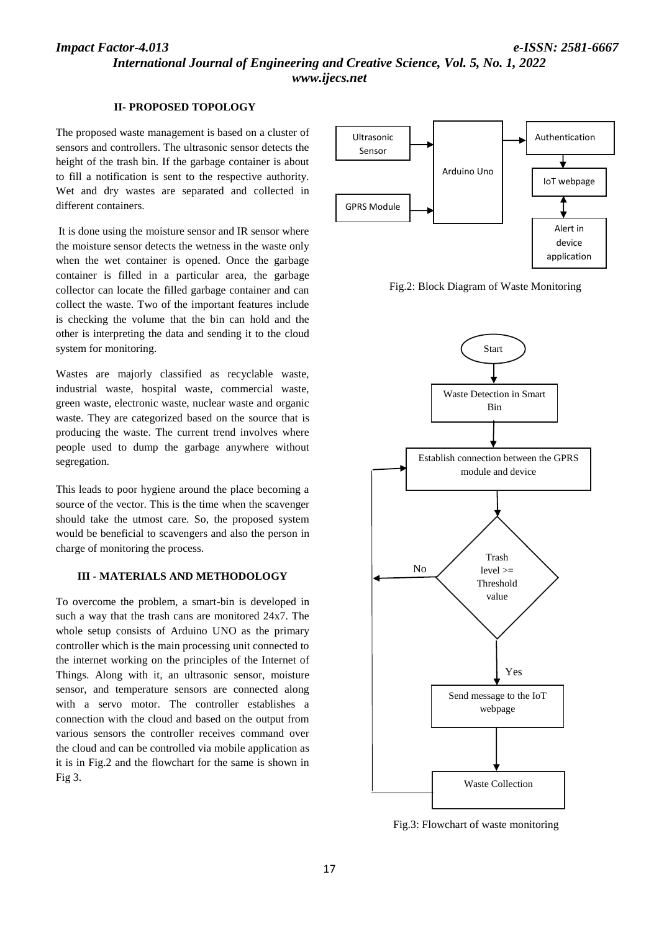### *Impact Factor-4.013 e-ISSN: 2581-6667*

*International Journal of Engineering and Creative Science, Vol. 5, No. 1, 2022 www.ijecs.net*

#### **II- PROPOSED TOPOLOGY**

The proposed waste management is based on a cluster of sensors and controllers. The ultrasonic sensor detects the height of the trash bin. If the garbage container is about to fill a notification is sent to the respective authority. Wet and dry wastes are separated and collected in different containers.

It is done using the moisture sensor and IR sensor where the moisture sensor detects the wetness in the waste only when the wet container is opened. Once the garbage container is filled in a particular area, the garbage collector can locate the filled garbage container and can collect the waste. Two of the important features include is checking the volume that the bin can hold and the other is interpreting the data and sending it to the cloud system for monitoring.

Wastes are majorly classified as recyclable waste, industrial waste, hospital waste, commercial waste, green waste, electronic waste, nuclear waste and organic waste. They are categorized based on the source that is producing the waste. The current trend involves where people used to dump the garbage anywhere without segregation.

This leads to poor hygiene around the place becoming a source of the vector. This is the time when the scavenger should take the utmost care. So, the proposed system would be beneficial to scavengers and also the person in charge of monitoring the process.

#### **III - MATERIALS AND METHODOLOGY**

To overcome the problem, a smart-bin is developed in such a way that the trash cans are monitored 24x7. The whole setup consists of Arduino UNO as the primary controller which is the main processing unit connected to the internet working on the principles of the Internet of Things. Along with it, an ultrasonic sensor, moisture sensor, and temperature sensors are connected along with a servo motor. The controller establishes a connection with the cloud and based on the output from various sensors the controller receives command over the cloud and can be controlled via mobile application as it is in Fig.2 and the flowchart for the same is shown in Fig 3.



Fig.2: Block Diagram of Waste Monitoring



Fig.3: Flowchart of waste monitoring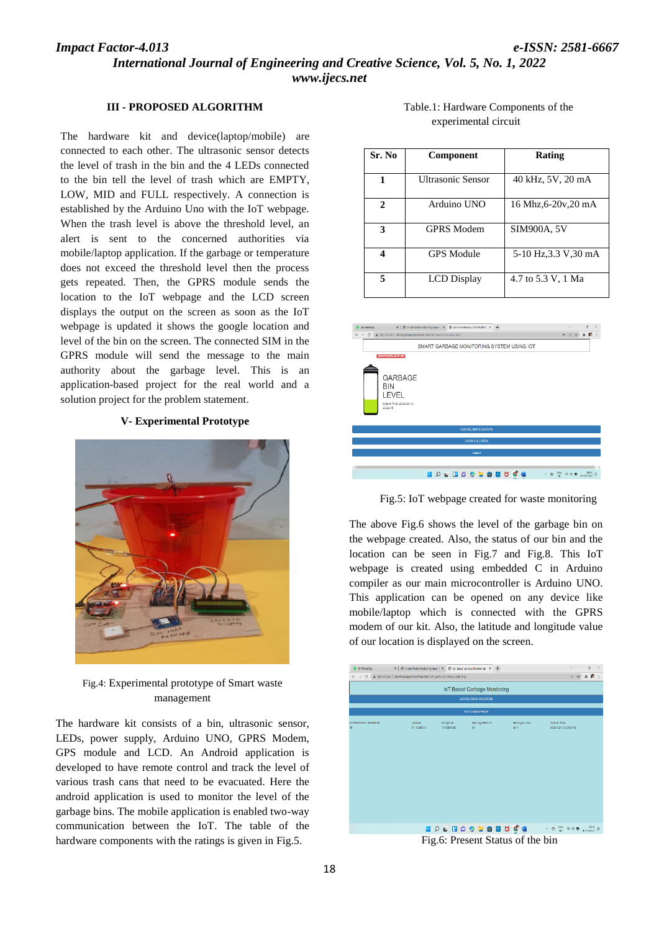#### **III - PROPOSED ALGORITHM**

The hardware kit and device(laptop/mobile) connected to each other. The ultrasonic sensor detects the level of trash in the bin and the 4 LEDs connected to the bin tell the level of trash which are EMPTY, LOW, MID and FULL respectively. A connection is established by the Arduino Uno with the IoT webpage. When the trash level is above the threshold level, an alert is sent to the concerned authorities via mobile/laptop application. If the garbage or temperature does not exceed the threshold level then the process gets repeated. Then, the GPRS module sends the location to the IoT webpage and the LCD screen displays the output on the screen as soon as the IoT webpage is updated it shows the google location and level of the bin on the screen. The connected SIM in the GPRS module will send the message to the main authority about the garbage level. This is an application-based project for the real world and a solution project for the problem statement.

#### **V- Experimental Prototype**



Fig.4: Experimental prototype of Smart waste management

The hardware kit consists of a bin, ultrasonic sensor, LEDs, power supply, Arduino UNO, GPRS Modem, GPS module and LCD. An Android application is developed to have remote control and track the level of various trash cans that need to be evacuated. Here the android application is used to monitor the level of the garbage bins. The mobile application is enabled two-way communication between the IoT. The table of the hardware components with the ratings is given in Fig.5.

Table.1: Hardware Components of the experimental circuit

| Sr. No       | <b>Component</b>         | <b>Rating</b>         |
|--------------|--------------------------|-----------------------|
| 1            | <b>Ultrasonic Sensor</b> | 40 kHz, 5V, 20 mA     |
| $\mathbf{2}$ | Arduino UNO              | 16 Mhz, 6-20v, 20 mA  |
| 3            | <b>GPRS</b> Modem        | <b>SIM900A, 5V</b>    |
| 4            | <b>GPS</b> Module        | 5-10 Hz, 3.3 V, 30 mA |
| 5            | <b>LCD</b> Display       | 4.7 to 5.3 V, 1 Ma    |



Fig.5: IoT webpage created for waste monitoring

The above Fig.6 shows the level of the garbage bin on the webpage created. Also, the status of our bin and the location can be seen in Fig.7 and Fig.8. This IoT webpage is created using embedded C in Arduino compiler as our main microcontroller is Arduino UNO. This application can be opened on any device like mobile/laptop which is connected with the GPRS modem of our kit. Also, the latitude and longitude value of our location is displayed on the screen.



Fig.6: Present Status of the bin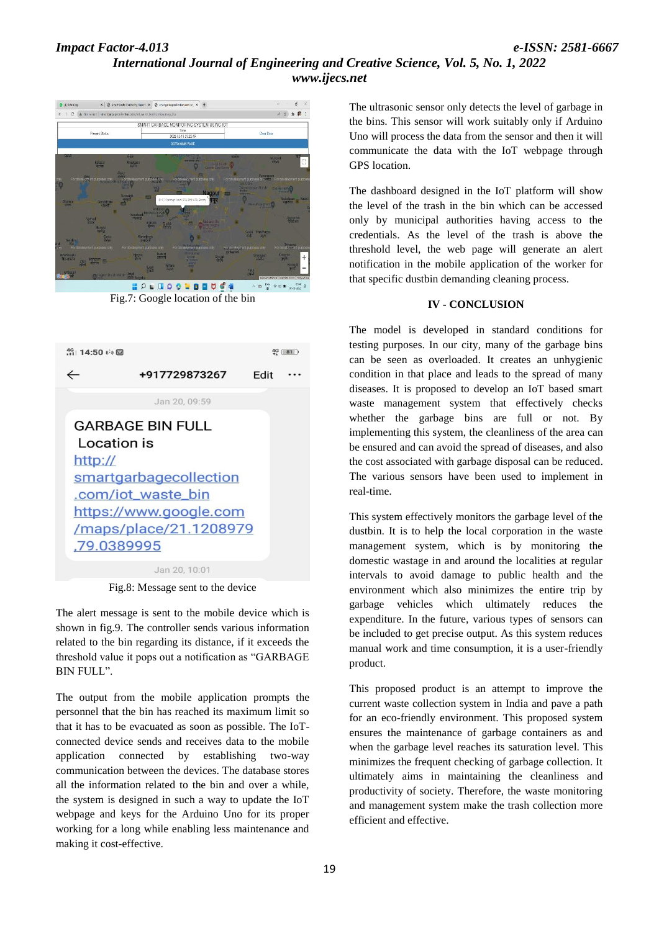## *Impact Factor-4.013 e-ISSN: 2581-6667 International Journal of Engineering and Creative Science, Vol. 5, No. 1, 2022 www.ijecs.net*



Fig.7: Google location of the bin



Jan 20, 10:01

Fig.8: Message sent to the device

The alert message is sent to the mobile device which is shown in fig.9. The controller sends various information related to the bin regarding its distance, if it exceeds the threshold value it pops out a notification as "GARBAGE BIN FULL".

The output from the mobile application prompts the personnel that the bin has reached its maximum limit so that it has to be evacuated as soon as possible. The IoTconnected device sends and receives data to the mobile application connected by establishing two-way communication between the devices. The database stores all the information related to the bin and over a while, the system is designed in such a way to update the IoT webpage and keys for the Arduino Uno for its proper working for a long while enabling less maintenance and making it cost-effective.

The ultrasonic sensor only detects the level of garbage in the bins. This sensor will work suitably only if Arduino Uno will process the data from the sensor and then it will communicate the data with the IoT webpage through GPS location.

The dashboard designed in the IoT platform will show the level of the trash in the bin which can be accessed only by municipal authorities having access to the credentials. As the level of the trash is above the threshold level, the web page will generate an alert notification in the mobile application of the worker for that specific dustbin demanding cleaning process.

#### **IV - CONCLUSION**

The model is developed in standard conditions for testing purposes. In our city, many of the garbage bins can be seen as overloaded. It creates an unhygienic condition in that place and leads to the spread of many diseases. It is proposed to develop an IoT based smart waste management system that effectively checks whether the garbage bins are full or not. By implementing this system, the cleanliness of the area can be ensured and can avoid the spread of diseases, and also the cost associated with garbage disposal can be reduced. The various sensors have been used to implement in real-time.

This system effectively monitors the garbage level of the dustbin. It is to help the local corporation in the waste management system, which is by monitoring the domestic wastage in and around the localities at regular intervals to avoid damage to public health and the environment which also minimizes the entire trip by garbage vehicles which ultimately reduces the expenditure. In the future, various types of sensors can be included to get precise output. As this system reduces manual work and time consumption, it is a user-friendly product.

This proposed product is an attempt to improve the current waste collection system in India and pave a path for an eco-friendly environment. This proposed system ensures the maintenance of garbage containers as and when the garbage level reaches its saturation level. This minimizes the frequent checking of garbage collection. It ultimately aims in maintaining the cleanliness and productivity of society. Therefore, the waste monitoring and management system make the trash collection more efficient and effective.